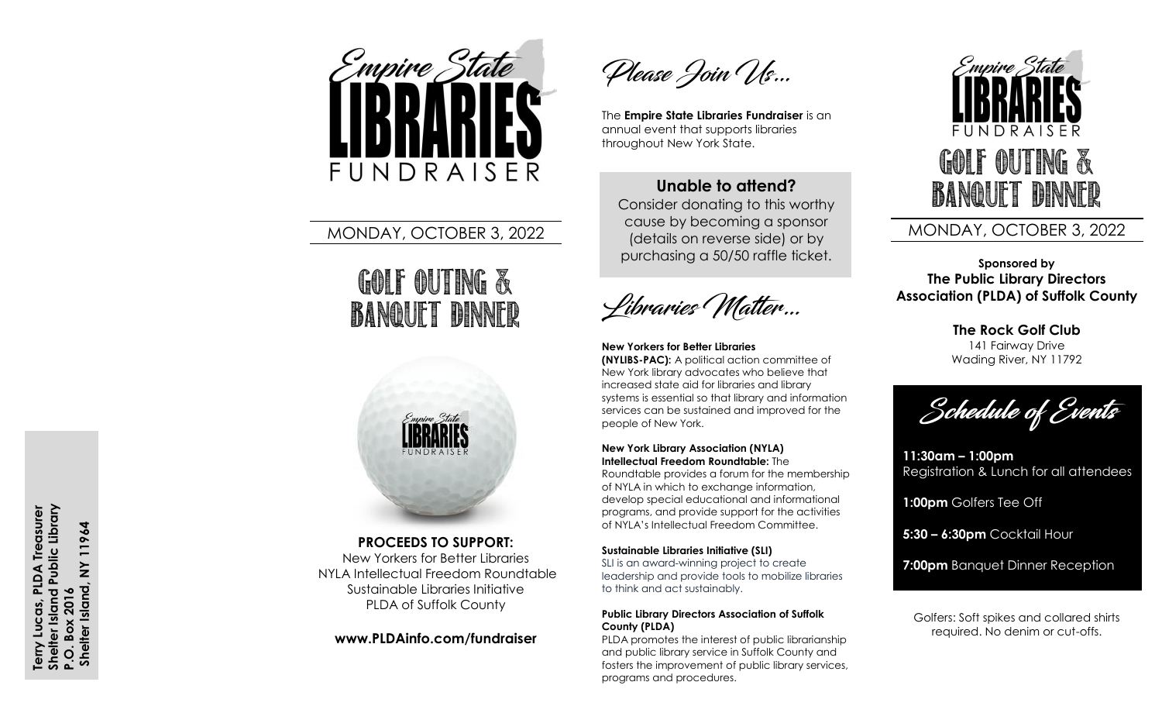

## MONDAY, OCTOBER 3, 2022

# GOLF OUTING & Banquet Dinner



### **PROCEEDS TO SUPPORT:**

New Yorkers for Better Libraries NYLA Intellectual Freedom Roundtable Sustainable Libraries Initiative PLDA of Suffolk County

### **www.PLDAinfo.com/fundraiser**

Please Join Us...

The **Empire State Libraries Fundraiser** is an annual event that supports libraries throughout New York State.

## **Unable to attend ?**

Consider donating to this worthy cause by becoming a sponsor (details on reverse side) or by purchasing a 50/50 raffle ticket.

Libraries Matter...

**New Yorkers for Better Libraries (NYLIBS-PAC):** A political action committee of New York library advocates who believe that increased state aid for libraries and library systems is essential so that library and information services can be sustained and improved for the people of New York.

#### **New York Library Association (NYLA ) Intellectual Freedom Roundtable:** The

Roundtable provide s a forum for the membership of NYLA in which to exchange information, develop special educational and informational programs, and provide support for the activities of NYLA's Intellectual Freedom Committee .

#### **Sustainable Libraries Initiative (SLI)**

SLI is an award -winning project to create leadership and provide tools to mobilize libraries to think and act sustainably.

#### **Public Library Directors Association of Suffolk County (PLDA )**

PLDA promotes the interest of public librarianship and public library service in Suffolk County and fosters the improvement of public library services, programs and procedures.



## MONDAY, OCTOBER 3, 2022

**Sponsored by The Public Library Directors Association (PLDA) of Suffolk County**

> **The Rock Golf Club** 141 Fairway Drive Wading River, NY 11792

Schedule of Events

**11:30am – 1:00pm** Registration & Lunch for all attendees

**1:00pm** Golfers Tee Off

**5:30 – 6:30pm** Cocktail Hour

**7:00pm** Banquet Dinner Reception

Golfers: Soft spikes and collared shirts required. No denim or cut -offs.